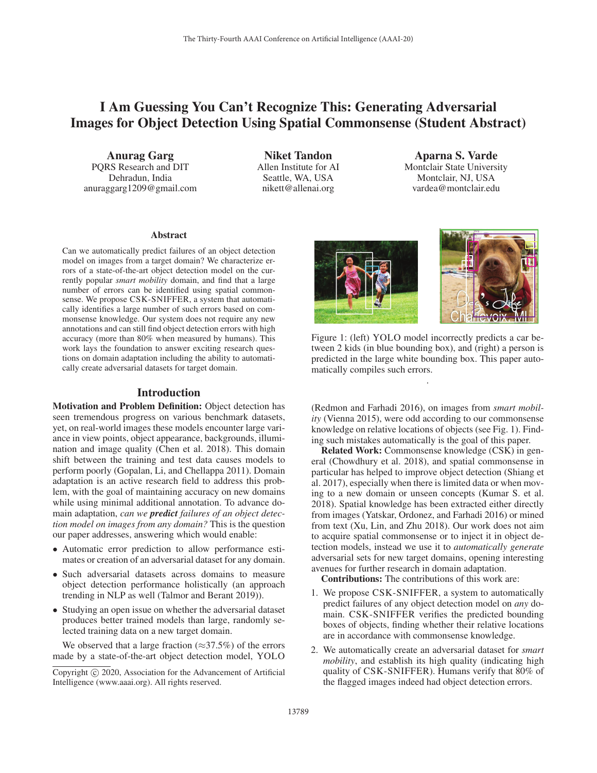# I Am Guessing You Can't Recognize This: Generating Adversarial Images for Object Detection Using Spatial Commonsense (Student Abstract)

Anurag Garg PQRS Research and DIT Dehradun, India anuraggarg1209@gmail.com

Niket Tandon Allen Institute for AI Seattle, WA, USA nikett@allenai.org

Aparna S. Varde Montclair State University Montclair, NJ, USA vardea@montclair.edu

### Abstract

Can we automatically predict failures of an object detection model on images from a target domain? We characterize errors of a state-of-the-art object detection model on the currently popular *smart mobility* domain, and find that a large number of errors can be identified using spatial commonsense. We propose CSK-SNIFFER, a system that automatically identifies a large number of such errors based on commonsense knowledge. Our system does not require any new annotations and can still find object detection errors with high accuracy (more than 80% when measured by humans). This work lays the foundation to answer exciting research questions on domain adaptation including the ability to automatically create adversarial datasets for target domain.

### Introduction

Motivation and Problem Definition: Object detection has seen tremendous progress on various benchmark datasets, yet, on real-world images these models encounter large variance in view points, object appearance, backgrounds, illumination and image quality (Chen et al. 2018). This domain shift between the training and test data causes models to perform poorly (Gopalan, Li, and Chellappa 2011). Domain adaptation is an active research field to address this problem, with the goal of maintaining accuracy on new domains while using minimal additional annotation. To advance domain adaptation, *can we predict failures of an object detection model on images from any domain?* This is the question our paper addresses, answering which would enable:

- Automatic error prediction to allow performance estimates or creation of an adversarial dataset for any domain.
- Such adversarial datasets across domains to measure object detection performance holistically (an approach trending in NLP as well (Talmor and Berant 2019)).
- Studying an open issue on whether the adversarial dataset produces better trained models than large, randomly selected training data on a new target domain.

We observed that a large fraction ( $\approx$ 37.5%) of the errors made by a state-of-the-art object detection model, YOLO





Figure 1: (left) YOLO model incorrectly predicts a car between 2 kids (in blue bounding box), and (right) a person is predicted in the large white bounding box. This paper automatically compiles such errors.

.

(Redmon and Farhadi 2016), on images from *smart mobility* (Vienna 2015), were odd according to our commonsense knowledge on relative locations of objects (see Fig. 1). Finding such mistakes automatically is the goal of this paper.

Related Work: Commonsense knowledge (CSK) in general (Chowdhury et al. 2018), and spatial commonsense in particular has helped to improve object detection (Shiang et al. 2017), especially when there is limited data or when moving to a new domain or unseen concepts (Kumar S. et al. 2018). Spatial knowledge has been extracted either directly from images (Yatskar, Ordonez, and Farhadi 2016) or mined from text (Xu, Lin, and Zhu 2018). Our work does not aim to acquire spatial commonsense or to inject it in object detection models, instead we use it to *automatically generate* adversarial sets for new target domains, opening interesting avenues for further research in domain adaptation.

Contributions: The contributions of this work are:

- 1. We propose CSK-SNIFFER, a system to automatically predict failures of any object detection model on *any* domain. CSK-SNIFFER verifies the predicted bounding boxes of objects, finding whether their relative locations are in accordance with commonsense knowledge.
- 2. We automatically create an adversarial dataset for *smart mobility*, and establish its high quality (indicating high quality of CSK-SNIFFER). Humans verify that 80% of the flagged images indeed had object detection errors.

Copyright  $\odot$  2020, Association for the Advancement of Artificial Intelligence (www.aaai.org). All rights reserved.